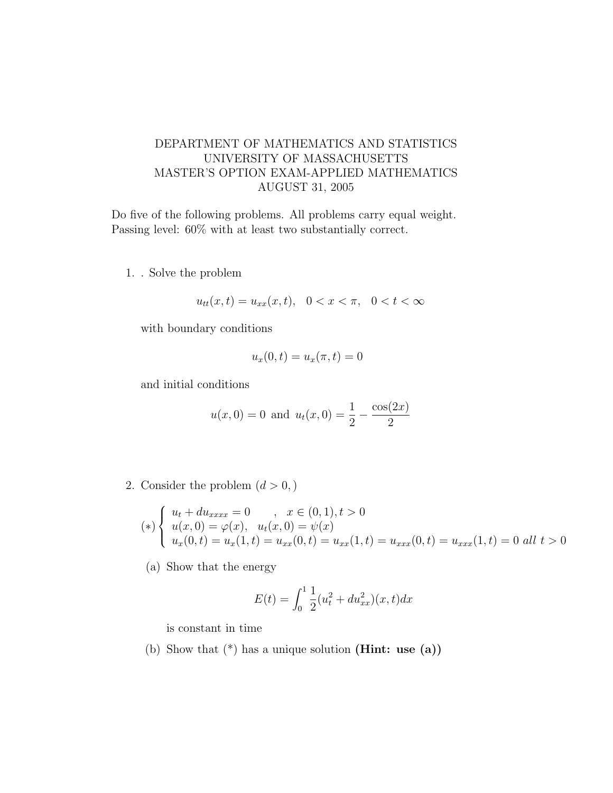## DEPARTMENT OF MATHEMATICS AND STATISTICS UNIVERSITY OF MASSACHUSETTS MASTER'S OPTION EXAM-APPLIED MATHEMATICS AUGUST 31, 2005

Do five of the following problems. All problems carry equal weight. Passing level: 60% with at least two substantially correct.

1. . Solve the problem

$$
u_{tt}(x,t) = u_{xx}(x,t), \quad 0 < x < \pi, \quad 0 < t < \infty
$$

with boundary conditions

$$
u_x(0,t) = u_x(\pi, t) = 0
$$

and initial conditions

$$
u(x, 0) = 0
$$
 and  $u_t(x, 0) = \frac{1}{2} - \frac{\cos(2x)}{2}$ 

2. Consider the problem  $(d > 0, )$ 

$$
(*)\begin{cases}u_t + du_{xxxx} = 0, & x \in (0,1), t > 0\\u(x, 0) = \varphi(x), & u_t(x, 0) = \psi(x)\\u_x(0, t) = u_x(1, t) = u_{xx}(0, t) = u_{xx}(1, t) = u_{xxx}(0, t) = u_{xxx}(1, t) = 0 \text{ all } t > 0\end{cases}
$$

(a) Show that the energy

$$
E(t) = \int_0^1 \frac{1}{2} (u_t^2 + du_{xx}^2)(x, t) dx
$$

is constant in time

(b) Show that  $(*)$  has a unique solution (**Hint: use** (a))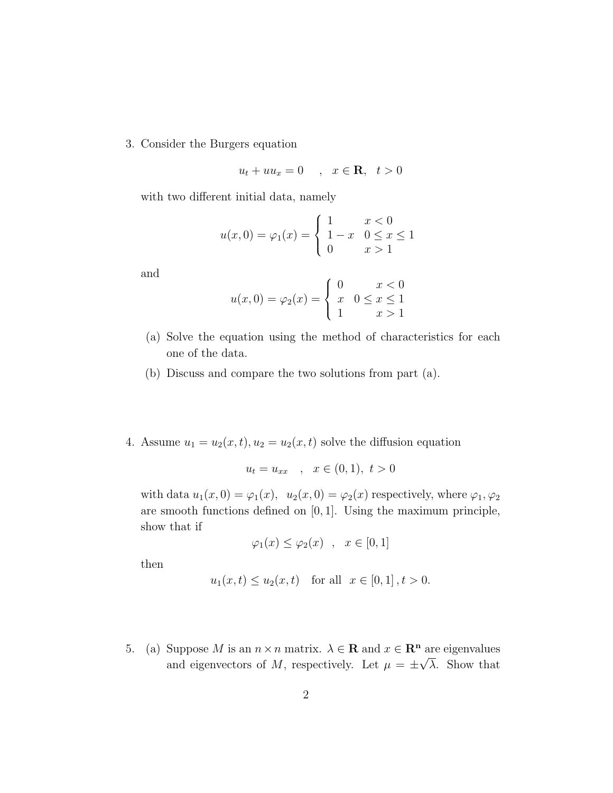3. Consider the Burgers equation

$$
u_t + uu_x = 0 \quad , \quad x \in \mathbf{R}, \quad t > 0
$$

with two different initial data, namely

$$
u(x, 0) = \varphi_1(x) = \begin{cases} 1 & x < 0 \\ 1 - x & 0 \le x \le 1 \\ 0 & x > 1 \end{cases}
$$

and

$$
u(x, 0) = \varphi_2(x) = \begin{cases} 0 & x < 0 \\ x & 0 \le x \le 1 \\ 1 & x > 1 \end{cases}
$$

- (a) Solve the equation using the method of characteristics for each one of the data.
- (b) Discuss and compare the two solutions from part (a).
- 4. Assume  $u_1 = u_2(x, t), u_2 = u_2(x, t)$  solve the diffusion equation

$$
u_t = u_{xx} \quad , \quad x \in (0,1), \ t > 0
$$

with data  $u_1(x, 0) = \varphi_1(x)$ ,  $u_2(x, 0) = \varphi_2(x)$  respectively, where  $\varphi_1, \varphi_2$ are smooth functions defined on  $[0, 1]$ . Using the maximum principle, show that if

$$
\varphi_1(x) \le \varphi_2(x) \quad , \quad x \in [0, 1]
$$

then

$$
u_1(x,t) \le u_2(x,t)
$$
 for all  $x \in [0,1], t > 0$ .

5. (a) Suppose M is an  $n \times n$  matrix.  $\lambda \in \mathbf{R}$  and  $x \in \mathbf{R}^n$  are eigenvalues and eigenvectors of M, respectively. Let  $\mu = \pm \sqrt{\lambda}$ . Show that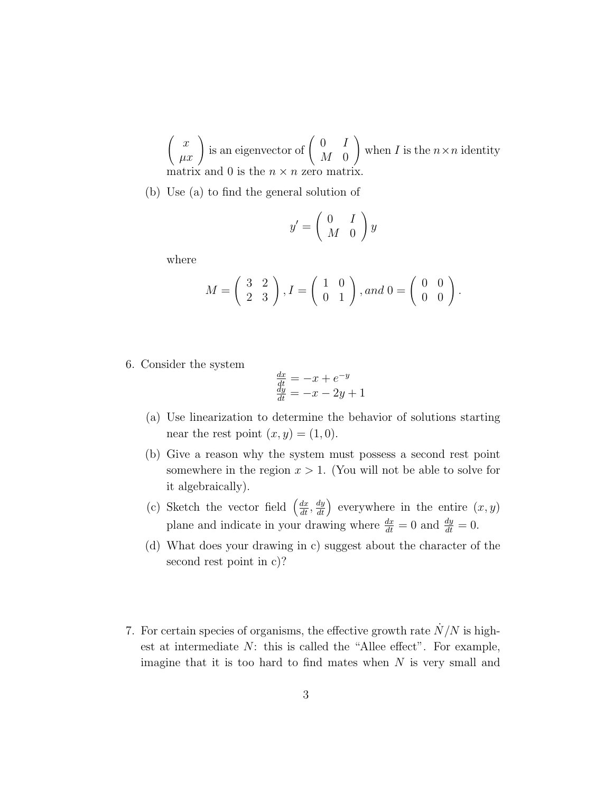$\begin{pmatrix} x \\ \mu x \end{pmatrix}$  is an eigenvector of  $\begin{pmatrix} 0 & I \\ M & 0 \end{pmatrix}$  $M_{\odot} 0$  $\setminus$ when  $I$  is the  $n \times n$  identity matrix and 0 is the  $n \times n$  zero matrix.

(b) Use (a) to find the general solution of

$$
y' = \left(\begin{array}{cc} 0 & I \\ M & 0 \end{array}\right) y
$$

where

$$
M = \begin{pmatrix} 3 & 2 \\ 2 & 3 \end{pmatrix}, I = \begin{pmatrix} 1 & 0 \\ 0 & 1 \end{pmatrix}, and 0 = \begin{pmatrix} 0 & 0 \\ 0 & 0 \end{pmatrix}.
$$

6. Consider the system

$$
\frac{\frac{dx}{dt}}{\frac{dy}{dt}} = -x + e^{-y}
$$

$$
\frac{dy}{dt} = -x - 2y + 1
$$

- (a) Use linearization to determine the behavior of solutions starting near the rest point  $(x, y) = (1, 0)$ .
- (b) Give a reason why the system must possess a second rest point somewhere in the region  $x > 1$ . (You will not be able to solve for it algebraically).
- (c) Sketch the vector field  $\left(\frac{dx}{dt}, \frac{dy}{dt}\right)$  everywhere in the entire  $(x, y)$ plane and indicate in your drawing where  $\frac{dx}{dt} = 0$  and  $\frac{dy}{dt} = 0$ .
- (d) What does your drawing in c) suggest about the character of the second rest point in c)?
- 7. For certain species of organisms, the effective growth rate  $\dot{N}/N$  is highest at intermediate  $N$ : this is called the "Allee effect". For example, imagine that it is too hard to find mates when  $N$  is very small and